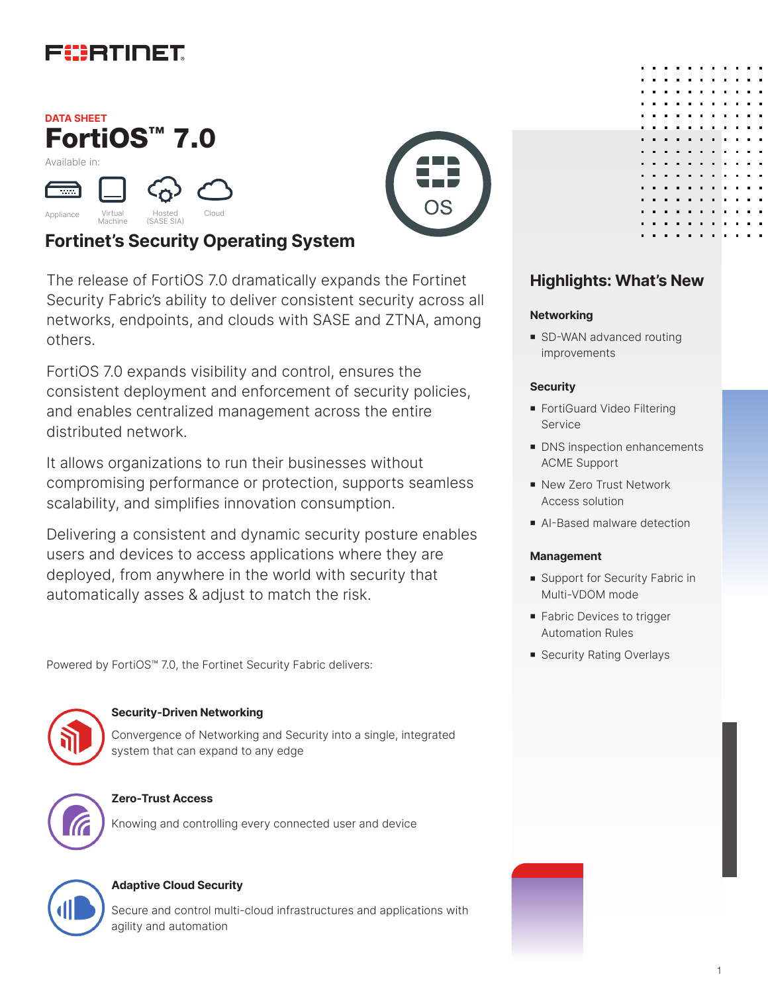

## FortiOS™ 7.0 **DATA SHEET** Available in:



## **Fortinet's Security Operating System**

The release of FortiOS 7.0 dramatically expands the Fortinet Security Fabric's ability to deliver consistent security across all networks, endpoints, and clouds with SASE and ZTNA, among others.

FortiOS 7.0 expands visibility and control, ensures the consistent deployment and enforcement of security policies, and enables centralized management across the entire distributed network.

It allows organizations to run their businesses without compromising performance or protection, supports seamless scalability, and simplifies innovation consumption.

Delivering a consistent and dynamic security posture enables users and devices to access applications where they are deployed, from anywhere in the world with security that automatically asses & adjust to match the risk.

Powered by FortiOS™ 7.0, the Fortinet Security Fabric delivers:



### **Security-Driven Networking**

Convergence of Networking and Security into a single, integrated system that can expand to any edge



### **Zero-Trust Access**

Knowing and controlling every connected user and device



### **Adaptive Cloud Security**

Secure and control multi-cloud infrastructures and applications with agility and automation





## **Highlights: What's New**

### **Networking**

■ SD-WAN advanced routing improvements

### **Security**

- FortiGuard Video Filtering Service
- DNS inspection enhancements ACME Support
- New Zero Trust Network Access solution
- AI-Based malware detection

### **Management**

- Support for Security Fabric in Multi-VDOM mode
- **Fabric Devices to trigger** Automation Rules
- **B** Security Rating Overlays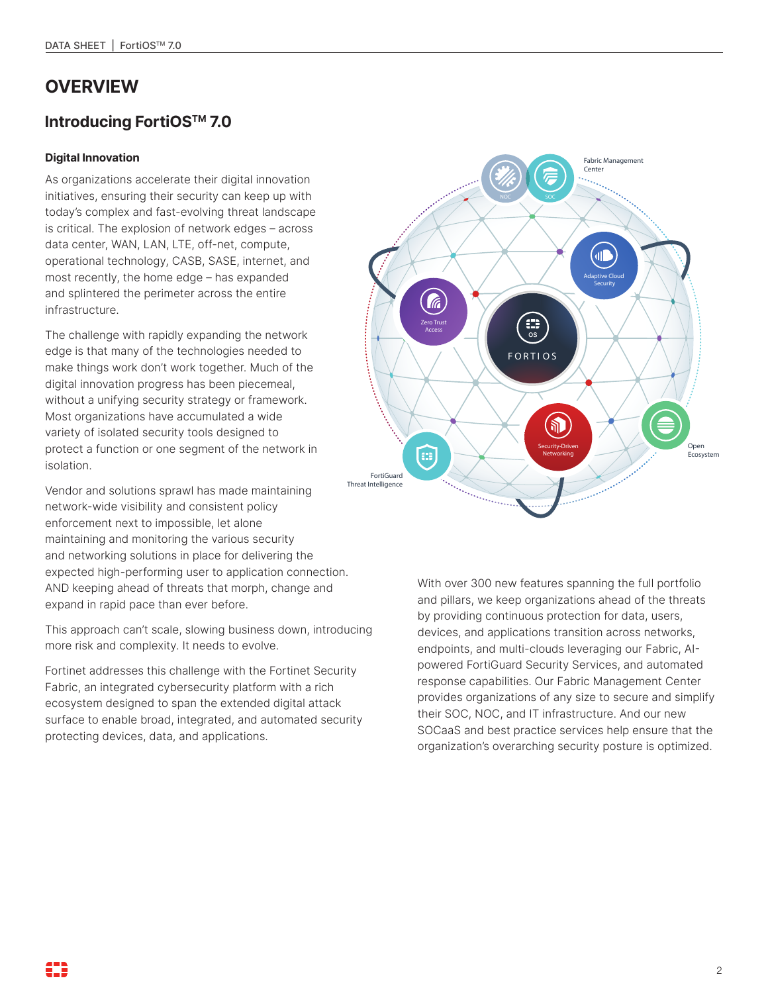# **OVERVIEW**

## **Introducing FortiOSTM 7.0**

### **Digital Innovation**

As organizations accelerate their digital innovation initiatives, ensuring their security can keep up with today's complex and fast-evolving threat landscape is critical. The explosion of network edges – across data center, WAN, LAN, LTE, off-net, compute, operational technology, CASB, SASE, internet, and most recently, the home edge – has expanded and splintered the perimeter across the entire infrastructure.

The challenge with rapidly expanding the network edge is that many of the technologies needed to make things work don't work together. Much of the digital innovation progress has been piecemeal, without a unifying security strategy or framework. Most organizations have accumulated a wide variety of isolated security tools designed to protect a function or one segment of the network in isolation.

Vendor and solutions sprawl has made maintaining network-wide visibility and consistent policy enforcement next to impossible, let alone maintaining and monitoring the various security and networking solutions in place for delivering the expected high-performing user to application connection. AND keeping ahead of threats that morph, change and expand in rapid pace than ever before.

This approach can't scale, slowing business down, introducing more risk and complexity. It needs to evolve.

Fortinet addresses this challenge with the Fortinet Security Fabric, an integrated cybersecurity platform with a rich ecosystem designed to span the extended digital attack surface to enable broad, integrated, and automated security protecting devices, data, and applications.



With over 300 new features spanning the full portfolio and pillars, we keep organizations ahead of the threats by providing continuous protection for data, users, devices, and applications transition across networks, endpoints, and multi-clouds leveraging our Fabric, AIpowered FortiGuard Security Services, and automated response capabilities. Our Fabric Management Center provides organizations of any size to secure and simplify their SOC, NOC, and IT infrastructure. And our new SOCaaS and best practice services help ensure that the organization's overarching security posture is optimized.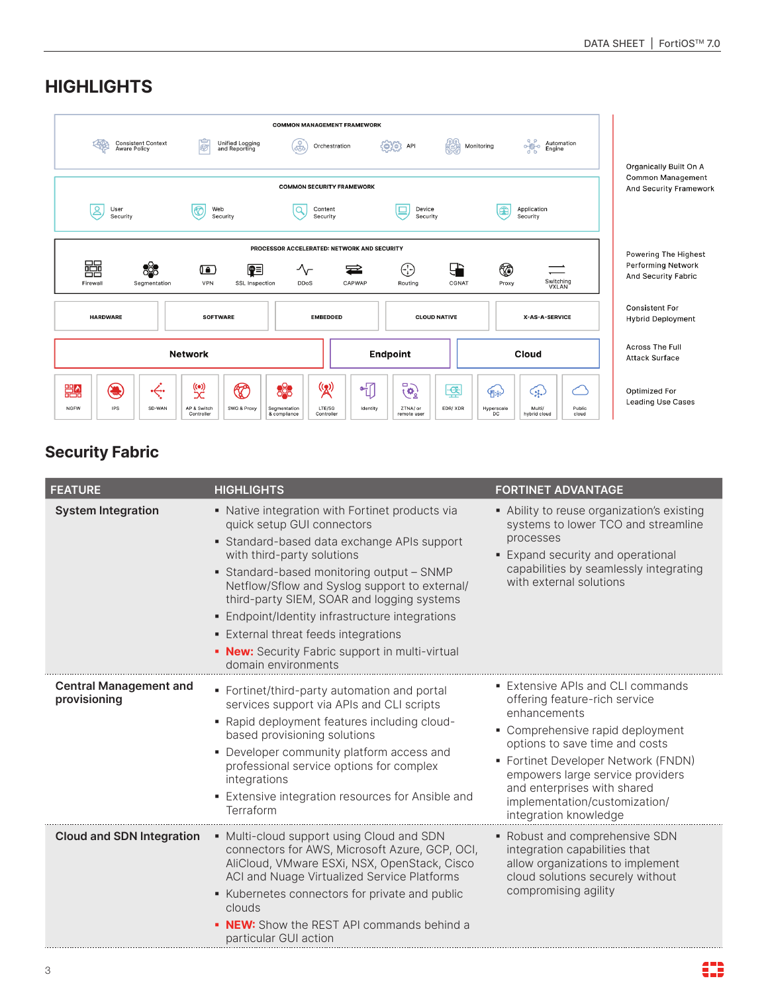| <b>Consistent Context</b><br>Aware Policy                                                                                                                                                                                                        | ē<br>Unified Logging<br>and Reporting                                              | <b>COMMON MANAGEMENT FRAMEWORK</b><br>Æ<br>Orchestration                                                       | $\begin{pmatrix} 0 & 0 \\ 0 & 0 \end{pmatrix}$ API             | $\frac{1}{\sigma}$<br>機<br>Monitoring                                            | Automation<br>Engine | <b>Organically Built On A</b>                             |
|--------------------------------------------------------------------------------------------------------------------------------------------------------------------------------------------------------------------------------------------------|------------------------------------------------------------------------------------|----------------------------------------------------------------------------------------------------------------|----------------------------------------------------------------|----------------------------------------------------------------------------------|----------------------|-----------------------------------------------------------|
| ర్లి<br>User<br>Security                                                                                                                                                                                                                         | 夜<br>Web<br>Security                                                               | <b>COMMON SECURITY FRAMEWORK</b><br>Content<br>a<br>Security                                                   | Device<br>⊑<br>Security                                        | œ<br>Application<br>Security                                                     |                      | <b>Common Management</b><br><b>And Security Framework</b> |
| PROCESSOR ACCELERATED: NETWORK AND SECURITY<br>畾<br>88<br>G)<br>⊕<br>●≣<br>$\gamma$<br>$\mathbf{G}$<br>$\equiv$<br>Switching<br>VXLAN<br>Firewall<br>VPN<br>CAPWAP<br>SSL Inspection<br><b>DDoS</b><br>Routing<br>CGNAT<br>Proxy<br>Segmentation |                                                                                    |                                                                                                                |                                                                | <b>Powering The Highest</b><br><b>Performing Network</b><br>And Security Fabric  |                      |                                                           |
| <b>HARDWARE</b>                                                                                                                                                                                                                                  | <b>SOFTWARE</b>                                                                    | <b>EMBEDDED</b>                                                                                                | <b>CLOUD NATIVE</b>                                            |                                                                                  | X-AS-A-SERVICE       | <b>Consistent For</b><br><b>Hybrid Deployment</b>         |
|                                                                                                                                                                                                                                                  | <b>Network</b>                                                                     |                                                                                                                | <b>Endpoint</b>                                                | <b>Cloud</b>                                                                     |                      | <b>Across The Full</b><br><b>Attack Surface</b>           |
| ۱<br>豐<br>•⇔•<br><b>IPS</b><br><b>NGFW</b><br>SD-WAN                                                                                                                                                                                             | $\overset{(\bullet)}{\mathbb{X}}$<br>അ<br>SWG & Proxy<br>AP & Switch<br>Controller | ස්<br>(( <u>2)</u><br>$\sqrt{\frac{1}{2}}$<br>LTE/5G<br>Segmentation<br>Identity<br>& compliance<br>Controller | □-<br>$\mathbf{G}^{\mathtt{p}}_{j}$<br>ZTNA/ or<br>remote user | 零<br>∕⊪}<br>ایچ)<br>EDR/XDR<br>Multi/<br>Hyperscale<br><b>DC</b><br>hybrid cloud | ٣<br>Public<br>cloud | <b>Optimized For</b><br><b>Leading Use Cases</b>          |

**Security Fabric**

| <b>FEATURE</b>                                | <b>HIGHLIGHTS</b>                                                                                                                                                                                                                                                                                                                                                                                                                                                                | <b>FORTINET ADVANTAGE</b>                                                                                                                                                                                                                                                                                                    |
|-----------------------------------------------|----------------------------------------------------------------------------------------------------------------------------------------------------------------------------------------------------------------------------------------------------------------------------------------------------------------------------------------------------------------------------------------------------------------------------------------------------------------------------------|------------------------------------------------------------------------------------------------------------------------------------------------------------------------------------------------------------------------------------------------------------------------------------------------------------------------------|
| <b>System Integration</b>                     | • Native integration with Fortinet products via<br>quick setup GUI connectors<br>• Standard-based data exchange APIs support<br>with third-party solutions<br>• Standard-based monitoring output - SNMP<br>Netflow/Sflow and Syslog support to external/<br>third-party SIEM, SOAR and logging systems<br>• Endpoint/Identity infrastructure integrations<br><b>External threat feeds integrations</b><br>• New: Security Fabric support in multi-virtual<br>domain environments | • Ability to reuse organization's existing<br>systems to lower TCO and streamline<br>processes<br>• Expand security and operational<br>capabilities by seamlessly integrating<br>with external solutions                                                                                                                     |
| <b>Central Management and</b><br>provisioning | • Fortinet/third-party automation and portal<br>services support via APIs and CLI scripts<br>- Rapid deployment features including cloud-<br>based provisioning solutions<br>• Developer community platform access and<br>professional service options for complex<br>integrations<br>• Extensive integration resources for Ansible and<br>Terraform                                                                                                                             | • Extensive APIs and CLI commands<br>offering feature-rich service<br>enhancements<br>• Comprehensive rapid deployment<br>options to save time and costs<br>• Fortinet Developer Network (FNDN)<br>empowers large service providers<br>and enterprises with shared<br>implementation/customization/<br>integration knowledge |
| <b>Cloud and SDN Integration</b>              | • Multi-cloud support using Cloud and SDN<br>connectors for AWS, Microsoft Azure, GCP, OCI,<br>AliCloud, VMware ESXi, NSX, OpenStack, Cisco<br>ACI and Nuage Virtualized Service Platforms<br>Kubernetes connectors for private and public<br>clouds<br>• NEW: Show the REST API commands behind a<br>particular GUI action                                                                                                                                                      | • Robust and comprehensive SDN<br>integration capabilities that<br>allow organizations to implement<br>cloud solutions securely without<br>compromising agility                                                                                                                                                              |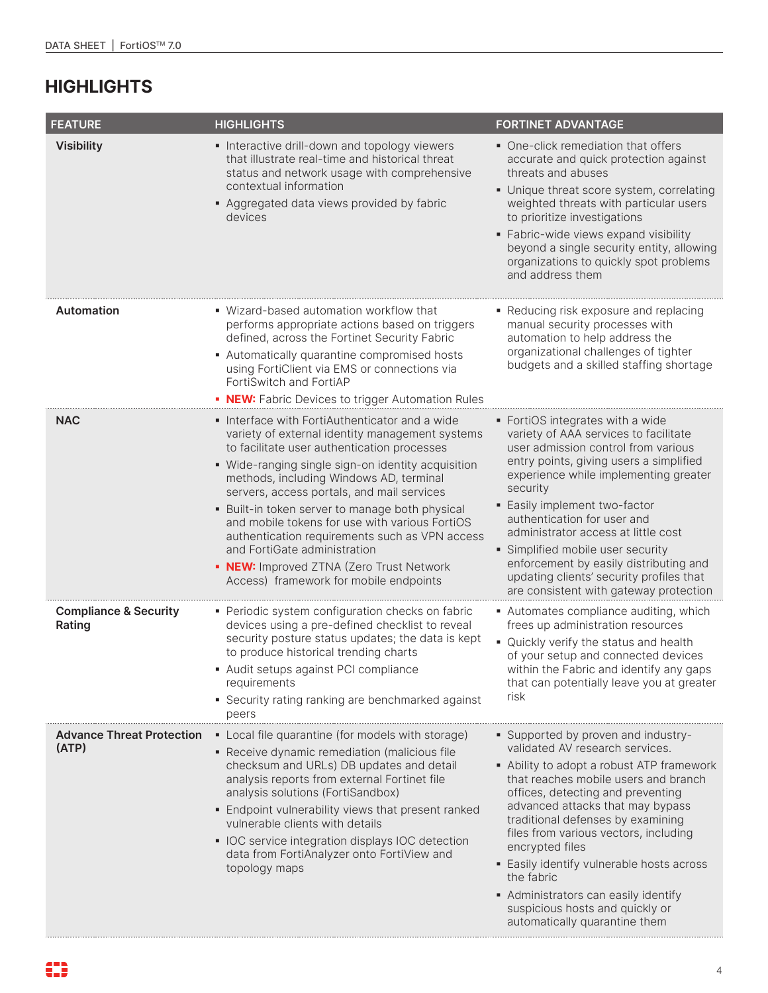| <b>FEATURE</b>                             | <b>HIGHLIGHTS</b>                                                                                                                                                                                                                                                                                                                                                                                                                                                                                                                                                            | <b>FORTINET ADVANTAGE</b>                                                                                                                                                                                                                                                                                                                                                                                                                                                                                    |
|--------------------------------------------|------------------------------------------------------------------------------------------------------------------------------------------------------------------------------------------------------------------------------------------------------------------------------------------------------------------------------------------------------------------------------------------------------------------------------------------------------------------------------------------------------------------------------------------------------------------------------|--------------------------------------------------------------------------------------------------------------------------------------------------------------------------------------------------------------------------------------------------------------------------------------------------------------------------------------------------------------------------------------------------------------------------------------------------------------------------------------------------------------|
| <b>Visibility</b>                          | Interactive drill-down and topology viewers<br>that illustrate real-time and historical threat<br>status and network usage with comprehensive<br>contextual information<br>• Aggregated data views provided by fabric<br>devices                                                                                                                                                                                                                                                                                                                                             | • One-click remediation that offers<br>accurate and quick protection against<br>threats and abuses<br>• Unique threat score system, correlating<br>weighted threats with particular users<br>to prioritize investigations<br>· Fabric-wide views expand visibility<br>beyond a single security entity, allowing<br>organizations to quickly spot problems<br>and address them                                                                                                                                |
| <b>Automation</b>                          | · Wizard-based automation workflow that<br>performs appropriate actions based on triggers<br>defined, across the Fortinet Security Fabric<br>• Automatically quarantine compromised hosts<br>using FortiClient via EMS or connections via<br>FortiSwitch and FortiAP<br>• NEW: Fabric Devices to trigger Automation Rules                                                                                                                                                                                                                                                    | Reducing risk exposure and replacing<br>manual security processes with<br>automation to help address the<br>organizational challenges of tighter<br>budgets and a skilled staffing shortage                                                                                                                                                                                                                                                                                                                  |
| <b>NAC</b>                                 | • Interface with FortiAuthenticator and a wide<br>variety of external identity management systems<br>to facilitate user authentication processes<br>• Wide-ranging single sign-on identity acquisition<br>methods, including Windows AD, terminal<br>servers, access portals, and mail services<br>• Built-in token server to manage both physical<br>and mobile tokens for use with various FortiOS<br>authentication requirements such as VPN access<br>and FortiGate administration<br>• NEW: Improved ZTNA (Zero Trust Network<br>Access) framework for mobile endpoints | • FortiOS integrates with a wide<br>variety of AAA services to facilitate<br>user admission control from various<br>entry points, giving users a simplified<br>experience while implementing greater<br>security<br>• Easily implement two-factor<br>authentication for user and<br>administrator access at little cost<br>· Simplified mobile user security<br>enforcement by easily distributing and<br>updating clients' security profiles that<br>are consistent with gateway protection                 |
| <b>Compliance &amp; Security</b><br>Rating | • Periodic system configuration checks on fabric<br>devices using a pre-defined checklist to reveal<br>security posture status updates; the data is kept<br>to produce historical trending charts<br>- Audit setups against PCI compliance<br>requirements<br>• Security rating ranking are benchmarked against<br>peers                                                                                                                                                                                                                                                     | • Automates compliance auditing, which<br>frees up administration resources<br>• Quickly verify the status and health<br>of your setup and connected devices<br>within the Fabric and identify any gaps<br>that can potentially leave you at greater<br>risk                                                                                                                                                                                                                                                 |
| <b>Advance Threat Protection</b><br>(ATP)  | • Local file quarantine (for models with storage)<br>• Receive dynamic remediation (malicious file<br>checksum and URLs) DB updates and detail<br>analysis reports from external Fortinet file<br>analysis solutions (FortiSandbox)<br>• Endpoint vulnerability views that present ranked<br>vulnerable clients with details<br>• IOC service integration displays IOC detection<br>data from FortiAnalyzer onto FortiView and<br>topology maps                                                                                                                              | • Supported by proven and industry-<br>validated AV research services.<br>• Ability to adopt a robust ATP framework<br>that reaches mobile users and branch<br>offices, detecting and preventing<br>advanced attacks that may bypass<br>traditional defenses by examining<br>files from various vectors, including<br>encrypted files<br>• Easily identify vulnerable hosts across<br>the fabric<br>• Administrators can easily identify<br>suspicious hosts and quickly or<br>automatically quarantine them |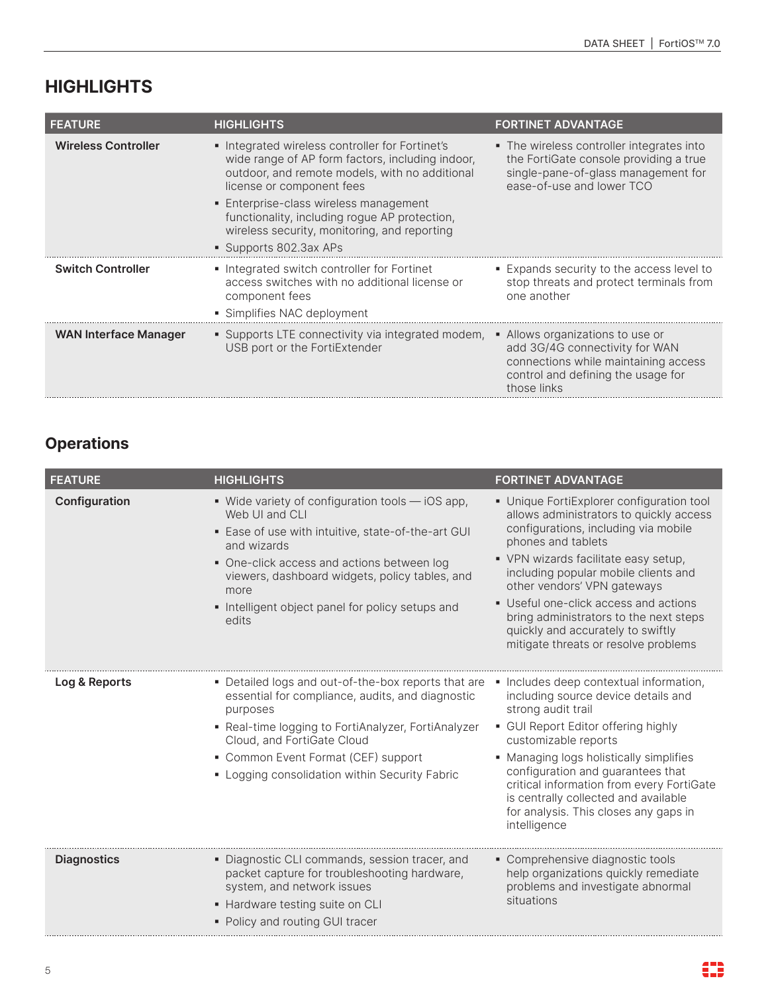| <b>FEATURE</b>               | <b>HIGHLIGHTS</b>                                                                                                                                                                                                                                                                                                                                     | <b>FORTINET ADVANTAGE</b>                                                                                                                                       |
|------------------------------|-------------------------------------------------------------------------------------------------------------------------------------------------------------------------------------------------------------------------------------------------------------------------------------------------------------------------------------------------------|-----------------------------------------------------------------------------------------------------------------------------------------------------------------|
| <b>Wireless Controller</b>   | Integrated wireless controller for Fortinet's<br>wide range of AP form factors, including indoor,<br>outdoor, and remote models, with no additional<br>license or component fees<br>• Enterprise-class wireless management<br>functionality, including roque AP protection,<br>wireless security, monitoring, and reporting<br>• Supports 802.3ax APs | • The wireless controller integrates into<br>the FortiGate console providing a true<br>single-pane-of-glass management for<br>ease-of-use and lower TCO         |
| <b>Switch Controller</b>     | • Integrated switch controller for Fortinet<br>access switches with no additional license or<br>component fees<br>• Simplifies NAC deployment                                                                                                                                                                                                         | ■ Expands security to the access level to<br>stop threats and protect terminals from<br>one another                                                             |
| <b>WAN Interface Manager</b> | • Supports LTE connectivity via integrated modem,<br>USB port or the FortiExtender                                                                                                                                                                                                                                                                    | • Allows organizations to use or<br>add 3G/4G connectivity for WAN<br>connections while maintaining access<br>control and defining the usage for<br>those links |

# **Operations**

| <b>FEATURE</b>     | <b>HIGHLIGHTS</b>                                                                                                                                                                                                                                                                                            | <b>FORTINET ADVANTAGE</b>                                                                                                                                                                                                                                                                                                                                                                                                         |
|--------------------|--------------------------------------------------------------------------------------------------------------------------------------------------------------------------------------------------------------------------------------------------------------------------------------------------------------|-----------------------------------------------------------------------------------------------------------------------------------------------------------------------------------------------------------------------------------------------------------------------------------------------------------------------------------------------------------------------------------------------------------------------------------|
| Configuration      | • Wide variety of configuration tools - iOS app,<br>Web UI and CLI<br>• Ease of use with intuitive, state-of-the-art GUI<br>and wizards<br>• One-click access and actions between log<br>viewers, dashboard widgets, policy tables, and<br>more<br>• Intelligent object panel for policy setups and<br>edits | • Unique FortiExplorer configuration tool<br>allows administrators to quickly access<br>configurations, including via mobile<br>phones and tablets<br>• VPN wizards facilitate easy setup,<br>including popular mobile clients and<br>other vendors' VPN gateways<br>• Useful one-click access and actions<br>bring administrators to the next steps<br>quickly and accurately to swiftly<br>mitigate threats or resolve problems |
| Log & Reports      | • Detailed logs and out-of-the-box reports that are<br>essential for compliance, audits, and diagnostic<br>purposes<br>• Real-time logging to FortiAnalyzer, FortiAnalyzer<br>Cloud, and FortiGate Cloud<br>• Common Event Format (CEF) support<br>• Logging consolidation within Security Fabric            | • Includes deep contextual information,<br>including source device details and<br>strong audit trail<br>• GUI Report Editor offering highly<br>customizable reports<br>• Managing logs holistically simplifies<br>configuration and guarantees that<br>critical information from every FortiGate<br>is centrally collected and available<br>for analysis. This closes any gaps in<br>intelligence                                 |
| <b>Diagnostics</b> | · Diagnostic CLI commands, session tracer, and<br>packet capture for troubleshooting hardware,<br>system, and network issues<br>• Hardware testing suite on CLI<br>• Policy and routing GUI tracer                                                                                                           | • Comprehensive diagnostic tools<br>help organizations quickly remediate<br>problems and investigate abnormal<br>situations                                                                                                                                                                                                                                                                                                       |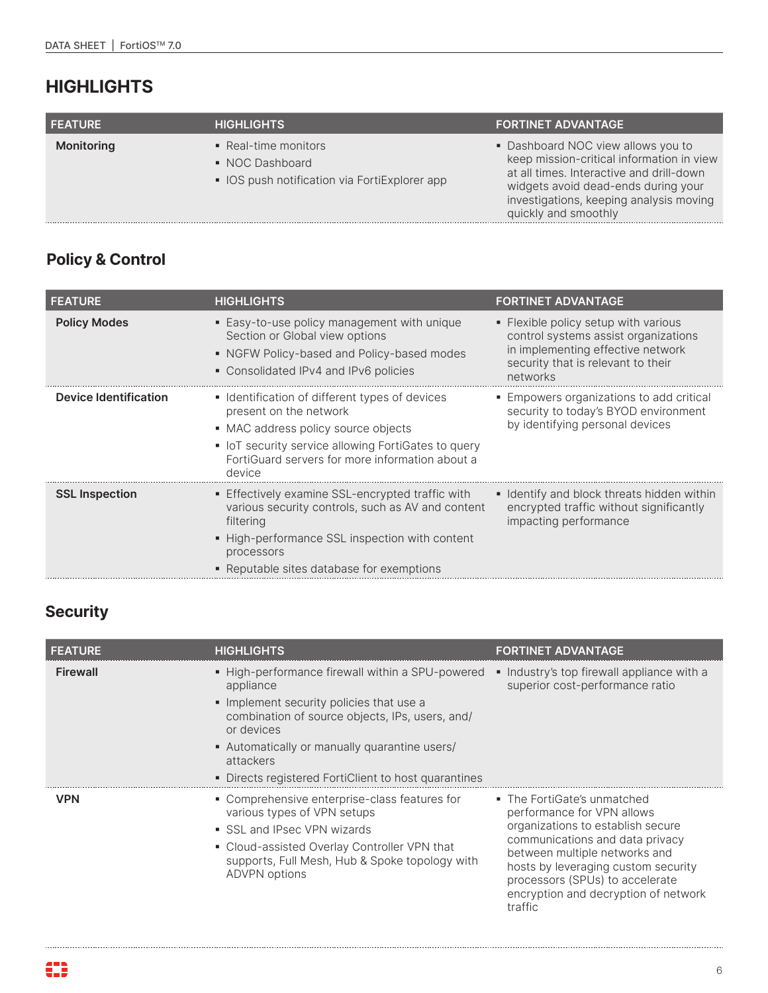| <b>FEATURE</b> | <b>HIGHLIGHTS</b>                                                                        | <b>FORTINET ADVANTAGE</b>                                                                                                                                                                                                             |
|----------------|------------------------------------------------------------------------------------------|---------------------------------------------------------------------------------------------------------------------------------------------------------------------------------------------------------------------------------------|
| Monitoring     | • Real-time monitors<br>• NOC Dashboard<br>• IOS push notification via FortiExplorer app | • Dashboard NOC view allows you to<br>keep mission-critical information in view<br>at all times. Interactive and drill-down<br>widgets avoid dead-ends during your<br>investigations, keeping analysis moving<br>quickly and smoothly |

# **Policy & Control**

| <b>FEATURE</b>               | <b>HIGHLIGHTS</b>                                                                                                                                                                                                                    | <b>FORTINET ADVANTAGE</b>                                                                                                                                           |
|------------------------------|--------------------------------------------------------------------------------------------------------------------------------------------------------------------------------------------------------------------------------------|---------------------------------------------------------------------------------------------------------------------------------------------------------------------|
| <b>Policy Modes</b>          | ■ Easy-to-use policy management with unique<br>Section or Global view options<br>• NGFW Policy-based and Policy-based modes<br>• Consolidated IPv4 and IPv6 policies                                                                 | • Flexible policy setup with various<br>control systems assist organizations<br>in implementing effective network<br>security that is relevant to their<br>networks |
| <b>Device Identification</b> | • Identification of different types of devices<br>present on the network<br>• MAC address policy source objects<br>• IoT security service allowing FortiGates to query<br>FortiGuard servers for more information about a<br>device  | • Empowers organizations to add critical<br>security to today's BYOD environment<br>by identifying personal devices                                                 |
| <b>SSL Inspection</b>        | <b>Effectively examine SSL-encrypted traffic with</b><br>various security controls, such as AV and content<br>filtering<br>• High-performance SSL inspection with content<br>processors<br>• Reputable sites database for exemptions | • Identify and block threats hidden within<br>encrypted traffic without significantly<br>impacting performance                                                      |

# **Security**

| <b>FEATURE</b>  | <b>HIGHLIGHTS</b>                                                                                                                                                                                                                                                                              | <b>FORTINET ADVANTAGE</b>                                                                                                                                                                                                                                                                       |
|-----------------|------------------------------------------------------------------------------------------------------------------------------------------------------------------------------------------------------------------------------------------------------------------------------------------------|-------------------------------------------------------------------------------------------------------------------------------------------------------------------------------------------------------------------------------------------------------------------------------------------------|
| <b>Firewall</b> | • High-performance firewall within a SPU-powered<br>appliance<br>Implement security policies that use a<br>combination of source objects, IPs, users, and/<br>or devices<br>• Automatically or manually quarantine users/<br>attackers<br>• Directs registered FortiClient to host quarantines | • Industry's top firewall appliance with a<br>superior cost-performance ratio                                                                                                                                                                                                                   |
| <b>VPN</b>      | • Comprehensive enterprise-class features for<br>various types of VPN setups<br>SSL and IPsec VPN wizards<br>• Cloud-assisted Overlay Controller VPN that<br>supports, Full Mesh, Hub & Spoke topology with<br>ADVPN options                                                                   | • The FortiGate's unmatched<br>performance for VPN allows<br>organizations to establish secure<br>communications and data privacy<br>between multiple networks and<br>hosts by leveraging custom security<br>processors (SPUs) to accelerate<br>encryption and decryption of network<br>traffic |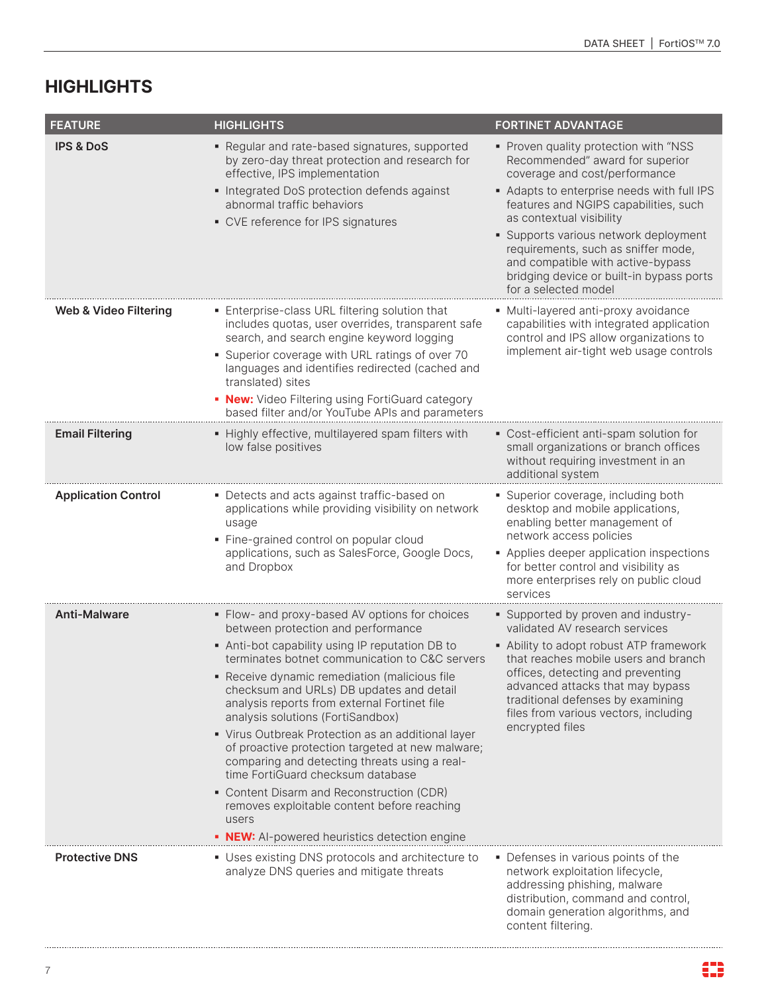| <b>FEATURE</b>             | <b>HIGHLIGHTS</b>                                                                                                                                                                                                                                                                                                                                                                                                                                                                                                                                                                                                                                                                                                               | <b>FORTINET ADVANTAGE</b>                                                                                                                                                                                                                                                                                                                                                                                           |
|----------------------------|---------------------------------------------------------------------------------------------------------------------------------------------------------------------------------------------------------------------------------------------------------------------------------------------------------------------------------------------------------------------------------------------------------------------------------------------------------------------------------------------------------------------------------------------------------------------------------------------------------------------------------------------------------------------------------------------------------------------------------|---------------------------------------------------------------------------------------------------------------------------------------------------------------------------------------------------------------------------------------------------------------------------------------------------------------------------------------------------------------------------------------------------------------------|
| <b>IPS &amp; DoS</b>       | • Regular and rate-based signatures, supported<br>by zero-day threat protection and research for<br>effective, IPS implementation<br>• Integrated DoS protection defends against<br>abnormal traffic behaviors<br>• CVE reference for IPS signatures                                                                                                                                                                                                                                                                                                                                                                                                                                                                            | • Proven quality protection with "NSS<br>Recommended" award for superior<br>coverage and cost/performance<br>Adapts to enterprise needs with full IPS<br>features and NGIPS capabilities, such<br>as contextual visibility<br>• Supports various network deployment<br>requirements, such as sniffer mode,<br>and compatible with active-bypass<br>bridging device or built-in bypass ports<br>for a selected model |
| Web & Video Filtering      | • Enterprise-class URL filtering solution that<br>includes quotas, user overrides, transparent safe<br>search, and search engine keyword logging<br>• Superior coverage with URL ratings of over 70<br>languages and identifies redirected (cached and<br>translated) sites<br>• New: Video Filtering using FortiGuard category<br>based filter and/or YouTube APIs and parameters                                                                                                                                                                                                                                                                                                                                              | • Multi-layered anti-proxy avoidance<br>capabilities with integrated application<br>control and IPS allow organizations to<br>implement air-tight web usage controls                                                                                                                                                                                                                                                |
| <b>Email Filtering</b>     | • Highly effective, multilayered spam filters with<br>low false positives                                                                                                                                                                                                                                                                                                                                                                                                                                                                                                                                                                                                                                                       | • Cost-efficient anti-spam solution for<br>small organizations or branch offices<br>without requiring investment in an<br>additional system                                                                                                                                                                                                                                                                         |
| <b>Application Control</b> | • Detects and acts against traffic-based on<br>applications while providing visibility on network<br>usage<br>· Fine-grained control on popular cloud<br>applications, such as SalesForce, Google Docs,<br>and Dropbox                                                                                                                                                                                                                                                                                                                                                                                                                                                                                                          | • Superior coverage, including both<br>desktop and mobile applications,<br>enabling better management of<br>network access policies<br>• Applies deeper application inspections<br>for better control and visibility as<br>more enterprises rely on public cloud<br>services                                                                                                                                        |
| <b>Anti-Malware</b>        | • Flow- and proxy-based AV options for choices<br>between protection and performance<br>Anti-bot capability using IP reputation DB to<br>terminates botnet communication to C&C servers<br>• Receive dynamic remediation (malicious file<br>checksum and URLs) DB updates and detail<br>analysis reports from external Fortinet file<br>analysis solutions (FortiSandbox)<br>• Virus Outbreak Protection as an additional layer<br>of proactive protection targeted at new malware;<br>comparing and detecting threats using a real-<br>time FortiGuard checksum database<br>• Content Disarm and Reconstruction (CDR)<br>removes exploitable content before reaching<br>users<br>• NEW: Al-powered heuristics detection engine | • Supported by proven and industry-<br>validated AV research services<br>• Ability to adopt robust ATP framework<br>that reaches mobile users and branch<br>offices, detecting and preventing<br>advanced attacks that may bypass<br>traditional defenses by examining<br>files from various vectors, including<br>encrypted files                                                                                  |
| <b>Protective DNS</b>      | • Uses existing DNS protocols and architecture to<br>analyze DNS queries and mitigate threats                                                                                                                                                                                                                                                                                                                                                                                                                                                                                                                                                                                                                                   | • Defenses in various points of the<br>network exploitation lifecycle,<br>addressing phishing, malware<br>distribution, command and control,<br>domain generation algorithms, and<br>content filtering.                                                                                                                                                                                                             |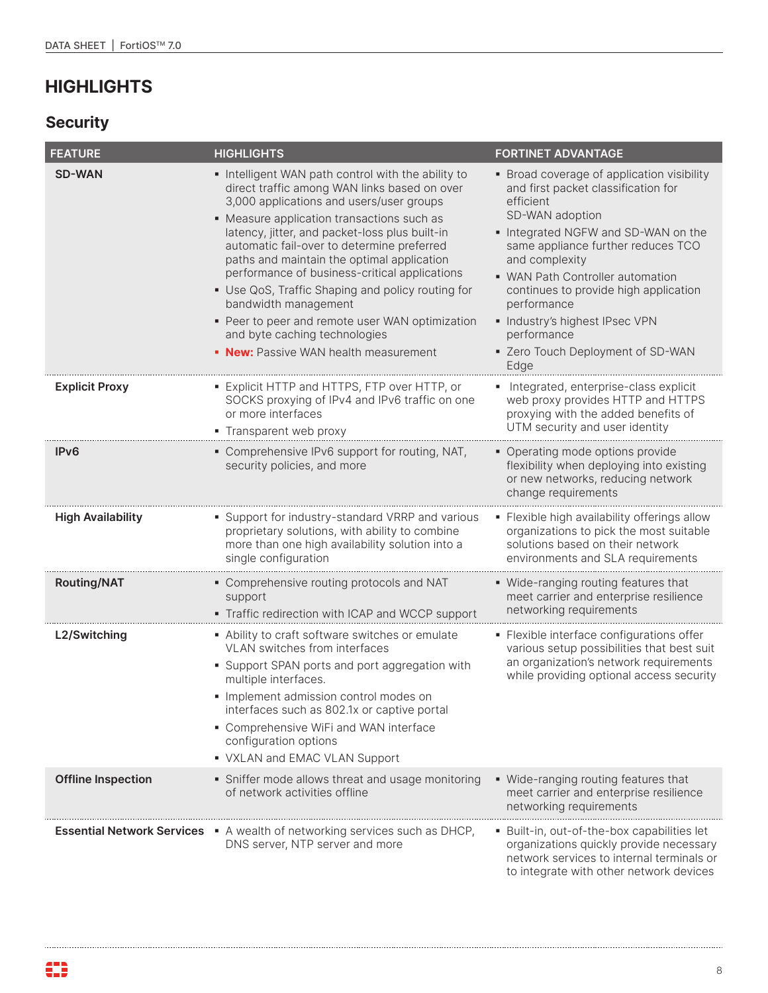# **Security**

| <b>FEATURE</b>            | <b>HIGHLIGHTS</b>                                                                                                                                                                                                                                                                                                                                                                                                                                                                                                                                                                                   | <b>FORTINET ADVANTAGE</b>                                                                                                                                                                                                                                                                                                                                                                                |
|---------------------------|-----------------------------------------------------------------------------------------------------------------------------------------------------------------------------------------------------------------------------------------------------------------------------------------------------------------------------------------------------------------------------------------------------------------------------------------------------------------------------------------------------------------------------------------------------------------------------------------------------|----------------------------------------------------------------------------------------------------------------------------------------------------------------------------------------------------------------------------------------------------------------------------------------------------------------------------------------------------------------------------------------------------------|
| <b>SD-WAN</b>             | Intelligent WAN path control with the ability to<br>direct traffic among WAN links based on over<br>3,000 applications and users/user groups<br>• Measure application transactions such as<br>latency, jitter, and packet-loss plus built-in<br>automatic fail-over to determine preferred<br>paths and maintain the optimal application<br>performance of business-critical applications<br>• Use QoS, Traffic Shaping and policy routing for<br>bandwidth management<br>• Peer to peer and remote user WAN optimization<br>and byte caching technologies<br>• New: Passive WAN health measurement | • Broad coverage of application visibility<br>and first packet classification for<br>efficient<br>SD-WAN adoption<br>Integrated NGFW and SD-WAN on the<br>same appliance further reduces TCO<br>and complexity<br>• WAN Path Controller automation<br>continues to provide high application<br>performance<br>· Industry's highest IPsec VPN<br>performance<br>• Zero Touch Deployment of SD-WAN<br>Edge |
| <b>Explicit Proxy</b>     | • Explicit HTTP and HTTPS, FTP over HTTP, or<br>SOCKS proxying of IPv4 and IPv6 traffic on one<br>or more interfaces<br>• Transparent web proxy                                                                                                                                                                                                                                                                                                                                                                                                                                                     | • Integrated, enterprise-class explicit<br>web proxy provides HTTP and HTTPS<br>proxying with the added benefits of<br>UTM security and user identity                                                                                                                                                                                                                                                    |
| IP <sub>V</sub> 6         | • Comprehensive IPv6 support for routing, NAT,<br>security policies, and more                                                                                                                                                                                                                                                                                                                                                                                                                                                                                                                       | • Operating mode options provide<br>flexibility when deploying into existing<br>or new networks, reducing network<br>change requirements                                                                                                                                                                                                                                                                 |
| <b>High Availability</b>  | • Support for industry-standard VRRP and various<br>proprietary solutions, with ability to combine<br>more than one high availability solution into a<br>single configuration                                                                                                                                                                                                                                                                                                                                                                                                                       | · Flexible high availability offerings allow<br>organizations to pick the most suitable<br>solutions based on their network<br>environments and SLA requirements                                                                                                                                                                                                                                         |
| <b>Routing/NAT</b>        | • Comprehensive routing protocols and NAT<br>support<br>• Traffic redirection with ICAP and WCCP support                                                                                                                                                                                                                                                                                                                                                                                                                                                                                            | • Wide-ranging routing features that<br>meet carrier and enterprise resilience<br>networking requirements                                                                                                                                                                                                                                                                                                |
| L2/Switching              | • Ability to craft software switches or emulate<br>VLAN switches from interfaces<br>• Support SPAN ports and port aggregation with<br>multiple interfaces.<br>· Implement admission control modes on<br>interfaces such as 802.1x or captive portal<br>• Comprehensive WiFi and WAN interface<br>configuration options<br>• VXLAN and EMAC VLAN Support                                                                                                                                                                                                                                             | · Flexible interface configurations offer<br>various setup possibilities that best suit<br>an organization's network requirements<br>while providing optional access security                                                                                                                                                                                                                            |
| <b>Offline Inspection</b> | • Sniffer mode allows threat and usage monitoring<br>of network activities offline                                                                                                                                                                                                                                                                                                                                                                                                                                                                                                                  | • Wide-ranging routing features that<br>meet carrier and enterprise resilience<br>networking requirements                                                                                                                                                                                                                                                                                                |
|                           | <b>Essential Network Services</b> • A wealth of networking services such as DHCP,<br>DNS server, NTP server and more                                                                                                                                                                                                                                                                                                                                                                                                                                                                                | ■ Built-in, out-of-the-box capabilities let<br>organizations quickly provide necessary<br>network services to internal terminals or<br>to integrate with other network devices                                                                                                                                                                                                                           |

. . . . . .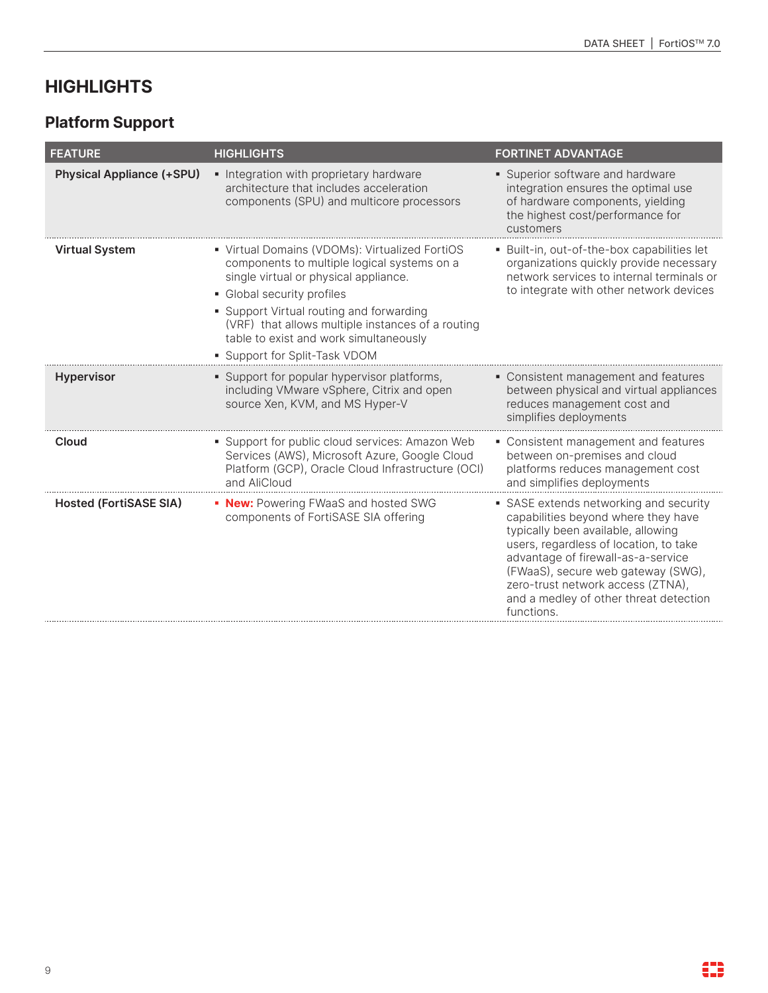# **Platform Support**

| <b>FEATURE</b>                   | <b>HIGHLIGHTS</b>                                                                                                                                                                                                                                                                                                                                | <b>FORTINET ADVANTAGE</b>                                                                                                                                                                                                                                                                                                              |
|----------------------------------|--------------------------------------------------------------------------------------------------------------------------------------------------------------------------------------------------------------------------------------------------------------------------------------------------------------------------------------------------|----------------------------------------------------------------------------------------------------------------------------------------------------------------------------------------------------------------------------------------------------------------------------------------------------------------------------------------|
| <b>Physical Appliance (+SPU)</b> | • Integration with proprietary hardware<br>architecture that includes acceleration<br>components (SPU) and multicore processors                                                                                                                                                                                                                  | • Superior software and hardware<br>integration ensures the optimal use<br>of hardware components, yielding<br>the highest cost/performance for<br>customers                                                                                                                                                                           |
| <b>Virtual System</b>            | • Virtual Domains (VDOMs): Virtualized FortiOS<br>components to multiple logical systems on a<br>single virtual or physical appliance.<br>• Global security profiles<br>• Support Virtual routing and forwarding<br>(VRF) that allows multiple instances of a routing<br>table to exist and work simultaneously<br>• Support for Split-Task VDOM | · Built-in, out-of-the-box capabilities let<br>organizations quickly provide necessary<br>network services to internal terminals or<br>to integrate with other network devices                                                                                                                                                         |
| <b>Hypervisor</b>                | • Support for popular hypervisor platforms,<br>including VMware vSphere, Citrix and open<br>source Xen, KVM, and MS Hyper-V                                                                                                                                                                                                                      | • Consistent management and features<br>between physical and virtual appliances<br>reduces management cost and<br>simplifies deployments                                                                                                                                                                                               |
| Cloud                            | • Support for public cloud services: Amazon Web<br>Services (AWS), Microsoft Azure, Google Cloud<br>Platform (GCP), Oracle Cloud Infrastructure (OCI)<br>and AliCloud                                                                                                                                                                            | • Consistent management and features<br>between on-premises and cloud<br>platforms reduces management cost<br>and simplifies deployments                                                                                                                                                                                               |
| <b>Hosted (FortiSASE SIA)</b>    | • New: Powering FWaaS and hosted SWG<br>components of FortiSASE SIA offering                                                                                                                                                                                                                                                                     | • SASE extends networking and security<br>capabilities beyond where they have<br>typically been available, allowing<br>users, regardless of location, to take<br>advantage of firewall-as-a-service<br>(FWaaS), secure web gateway (SWG),<br>zero-trust network access (ZTNA),<br>and a medley of other threat detection<br>functions. |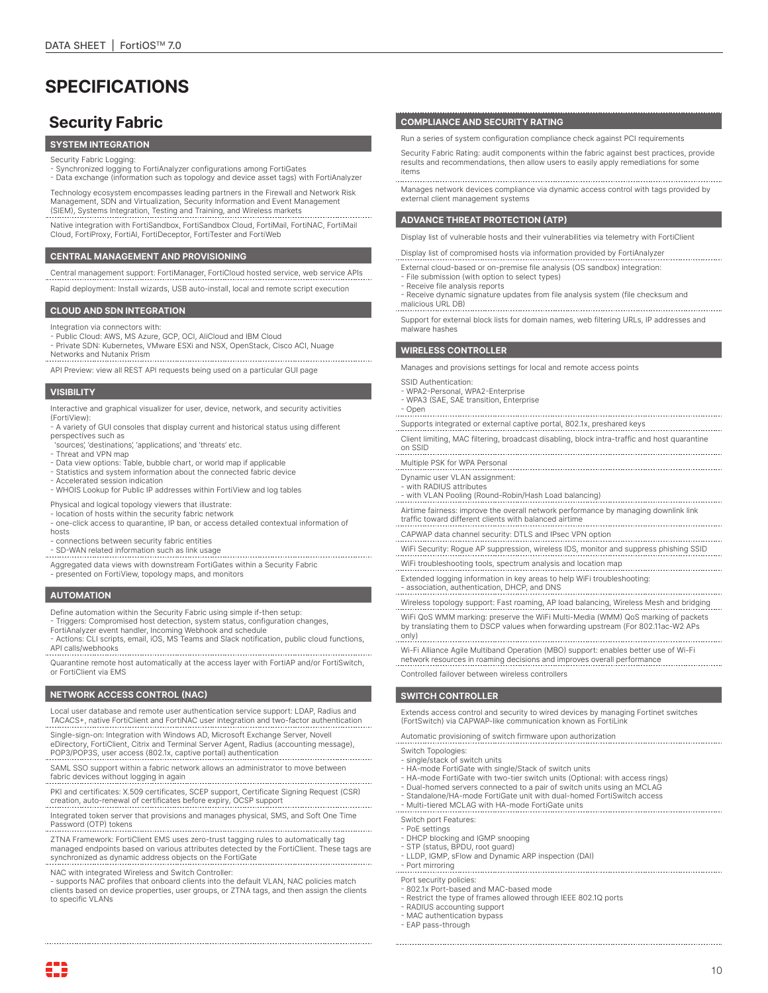# **SPECIFICATIONS**

## **Security Fabric**

### **SYSTEM INTEGRATION**

- Security Fabric Logging:
- Synchronized logging to FortiAnalyzer configurations among FortiGates - Data exchange (information such as topology and device asset tags) with FortiAnalyzer

Technology ecosystem encompasses leading partners in the Firewall and Network Risk Management, SDN and Virtualization, Security Information and Event Management (SIEM), Systems Integration, Testing and Training, and Wireless markets .......................

Native integration with FortiSandbox, FortiSandbox Cloud, FortiMail, FortiNAC, FortiMail Cloud, FortiProxy, FortiAI, FortiDeceptor, FortiTester and FortiWeb

#### **CENTRAL MANAGEMENT AND PROVISIONING**

Central management support: FortiManager, FortiCloud hosted service, web service APIs

Rapid deployment: Install wizards, USB auto-install, local and remote script execution

#### **CLOUD AND SDN INTEGRATION**

- Integration via connectors with:
- 
- Public Cloud: AWS, MS Azure, GCP, OCI, AliCloud and IBM Cloud Private SDN: Kubernetes, VMware ESXi and NSX, OpenStack, Cisco ACI, Nuage
- Networks and Nutanix Prism
- API Preview: view all REST API requests being used on a particular GUI page

#### **VISIBILITY**

Interactive and graphical visualizer for user, device, network, and security activities (FortiView):

- A variety of GUI consoles that display current and historical status using different perspectives such as
- 'sources', 'destinations', 'applications', and 'threats' etc.
- Threat and VPN map
- Data view options: Table, bubble chart, or world map if applicable - Statistics and system information about the connected fabric device
- Accelerated session indication
- WHOIS Lookup for Public IP addresses within FortiView and log tables

Physical and logical topology viewers that illustrate: - location of hosts within the security fabric network

- one-click access to quarantine, IP ban, or access detailed contextual information of hosts
- connections between security fabric entities
- SD-WAN related information such as link usage
- Aggregated data views with downstream FortiGates within a Security Fabric - presented on FortiView, topology maps, and monitors

#### **AUTOMATION**

- Define automation within the Security Fabric using simple if-then setup:
- Triggers: Compromised host detection, system status, configuration changes, FortiAnalyzer event handler, Incoming Webhook and schedule
- 
- Actions: CLI scripts, email, iOS, MS Teams and Slack notification, public cloud functions, API calls/webhooks

Quarantine remote host automatically at the access layer with FortiAP and/or FortiSwitch. or FortiClient via EMS

#### **NETWORK ACCESS CONTROL (NAC)**

- Local user database and remote user authentication service support: LDAP, Radius and TACACS+, native FortiClient and FortiNAC user integration and two-factor authentication
- Single-sign-on: Integration with Windows AD, Microsoft Exchange Server, Novell eDirectory, FortiClient, Citrix and Terminal Server Agent, Radius (accounting message), POP3/POP3S, user access (802.1x, captive portal) authentication
- SAML SSO support within a fabric network allows an administrator to move between fabric devices without logging in again<br>fabric devices without logging in again
- PKI and certificates: X.509 certificates, SCEP support, Certificate Signing Request (CSR) creation, auto-renewal of certificates before expiry, OCSP support
- Integrated token server that provisions and manages physical, SMS, and Soft One Time Password (OTP) tokens
- ZTNA Framework: FortiClient EMS uses zero-trust tagging rules to automatically tag managed endpoints based on various attributes detected by the FortiClient. These tags are synchronized as dynamic address objects on the FortiGate

NAC with integrated Wireless and Switch Controller: - supports NAC profiles that onboard clients into the default VLAN, NAC policies match clients based on device properties, user groups, or ZTNA tags, and then assign the clients to specific VLANs

### **COMPLIANCE AND SECURITY RATING**

Run a series of system configuration compliance check against PCI requirements

Security Fabric Rating: audit components within the fabric against best practices, provide results and recommendations, then allow users to easily apply remediations for some items

Manages network devices compliance via dynamic access control with tags provided by external client management systems

### **ADVANCE THREAT PROTECTION (ATP)**

Display list of vulnerable hosts and their vulnerabilities via telemetry with FortiClient

Display list of compromised hosts via information provided by FortiAnalyzer

- External cloud-based or on-premise file analysis (OS sandbox) integration:
- File submission (with option to select types) - Receive file analysis reports
- Receive dynamic signature updates from file analysis system (file checksum and malicious URL DB)

Support for external block lists for domain names, web filtering URLs, IP addresses and malware hashes

#### **WIRELESS CONTROLLER**

Manages and provisions settings for local and remote access points

- SSID Authentication:
- WPA2-Personal, WPA2-Enterprise
- WPA3 (SAE, SAE transition, Enterprise
- 

- Open Supports integrated or external captive portal, 802.1x, preshared keys

Client limiting, MAC filtering, broadcast disabling, block intra-traffic and host quarantine on SSID

Multiple PSK for WPA Personal Dynamic user VLAN assignment:

with RADIUS attributes

- with VLAN Pooling (Round-Robin/Hash Load balancing)

Airtime fairness: improve the overall network performance by managing downlink link traffic toward different clients with balanced airtime

CAPWAP data channel security: DTLS and IPsec VPN option

WiFi Security: Rogue AP suppression, wireless IDS, monitor and suppress phishing SSID

WiFi troubleshooting tools, spectrum analysis and location map

Extended logging information in key areas to help WiFi troubleshooting: - association, authentication, DHCP, and DNS

Wireless topology support: Fast roaming, AP load balancing, Wireless Mesh and bridging

WiFi QoS WMM marking: preserve the WiFi Multi-Media (WMM) QoS marking of packets by translating them to DSCP values when forwarding upstream (For 802.11ac-W2 APs only)

Wi-Fi Alliance Agile Multiband Operation (MBO) support: enables better use of Wi-Fi network resources in roaming decisions and improves overall performance

Controlled failover between wireless controllers

#### **SWITCH CONTROLLER**

Extends access control and security to wired devices by managing Fortinet switches (FortSwitch) via CAPWAP-like communication known as FortiLink

Automatic provisioning of switch firmware upon authorization

- Switch Topologies:
- single/stack of switch units
- HA-mode FortiGate with single/Stack of switch units
- HA-mode FortiGate with two-tier switch units (Optional: with access rings)
- Dual-homed servers connected to a pair of switch units using an MCLAG
- Standalone/HA-mode FortiGate unit with dual-homed FortiSwitch access Multi-tiered MCLAG with HA-mode FortiGate units

Switch port Features:

- 
- PoE settings DHCP blocking and IGMP snooping
- STP (status, BPDU, root guard)
- LLDP, IGMP, sFlow and Dynamic ARP inspection (DAI)
- 

- Port mirroring

- Port security policies: - 802.1x Port-based and MAC-based mode
- Restrict the type of frames allowed through IEEE 802.1Q ports
- RADIUS accounting support
- MAC authentication bypass
- EAP pass-through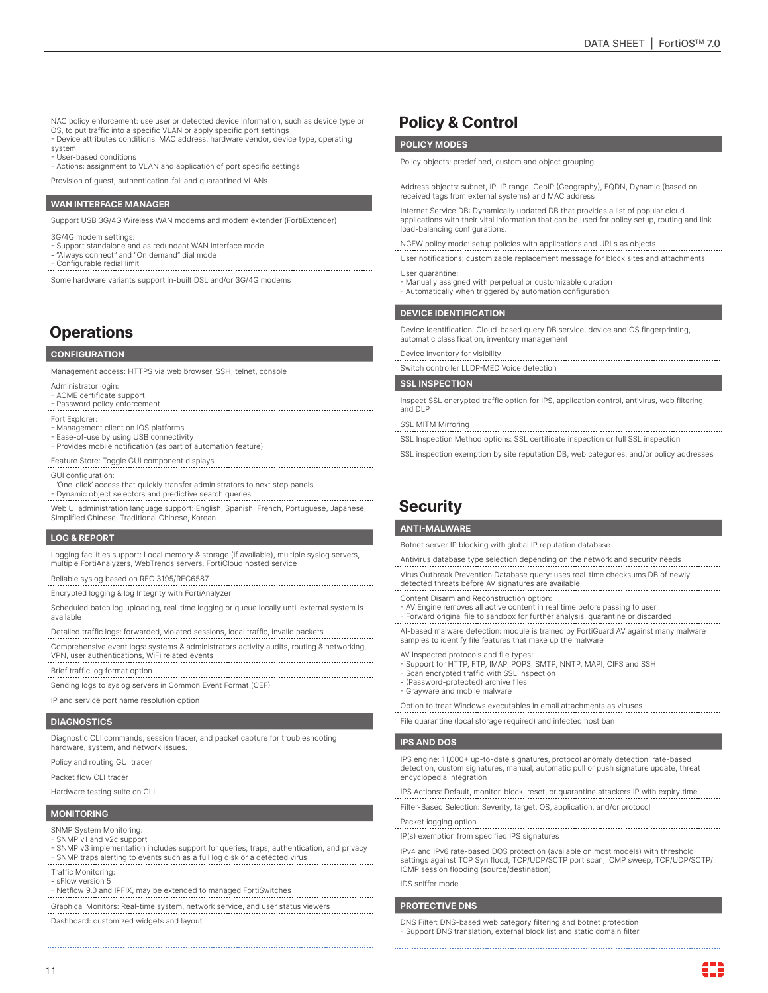NAC policy enforcement: use user or detected device information, such as device type or

- OS, to put traffic into a specific VLAN or apply specific port settings Device attributes conditions: MAC address, hardware vendor, device type, operating
- system
- User-based conditions
- Actions: assignment to VLAN and application of port specific settings
- Provision of guest, authentication-fail and quarantined VLANs

#### **WAN INTERFACE MANAGER**

Support USB 3G/4G Wireless WAN modems and modem extender (FortiExtender)

- 3G/4G modem settings:
- Support standalone and as redundant WAN interface mode - "Always connect" and "On demand" dial mode
- 
- Configurable redial limit

Some hardware variants support in-built DSL and/or 3G/4G modems

## **Operations**

#### **CONFIGURATION**

Management access: HTTPS via web browser, SSH, telnet, console

- Administrator login:
- ACME certificate support
- Password policy enforcement
- FortiExplorer:
- Management client on IOS platforms
- Ease-of-use by using USB connectivity
- Provides mobile notification (as part of automation feature)
- Feature Store: Toggle GUI component displays
- GUI configuration:
- 'One-click' access that quickly transfer administrators to next step panels - Dynamic object selectors and predictive search queries
- Web UI administration language support: English, Spanish, French, Portuguese, Japanese, Simplified Chinese, Traditional Chinese, Korean

#### **LOG & REPORT**

Logging facilities support: Local memory & storage (if available), multiple syslog servers, multiple FortiAnalyzers, WebTrends servers, FortiCloud hosted service

- Reliable syslog based on RFC 3195/RFC6587 . . . . . . . . . . . . . . . .
- Encrypted logging & log Integrity with FortiAnalyzer
- Scheduled batch log uploading, real-time logging or queue locally until external system is available
- Detailed traffic logs: forwarded, violated sessions, local traffic, invalid packets
- Comprehensive event logs: systems & administrators activity audits, routing & networking, VPN, user authentications, WiFi related events
- 
- Brief traffic log format option<br>
Firef traffic log format option<br>
Fig. (CEC) Sending logs to syslog servers in Common Event Format (CEF)
- IP and service port name resolution option

#### **DIAGNOSTICS**

Diagnostic CLI commands, session tracer, and packet capture for troubleshooting hardware, system, and network issues.

#### Policy and routing GUI tracer

Packet flow CLI tracer

Hardware testing suite on CLI

#### **MONITORING**

SNMP System Monitoring:

- SNMP v1 and v2c support
- SNMP v3 implementation includes support for queries, traps, authentication, and privacy - SNMP traps alerting to events such as a full log disk or a detected virus
- Traffic Monitoring:
- sFlow version 5
- Netflow 9.0 and IPFIX, may be extended to managed FortiSwitches
- Graphical Monitors: Real-time system, network service, and user status viewers
- Dashboard: customized widgets and layout

### **Policy & Control**

#### **POLICY MODES**

- Policy objects: predefined, custom and object grouping
- Address objects: subnet, IP, IP range, GeoIP (Geography), FQDN, Dynamic (based on received tags from external systems) and MAC address
- Internet Service DB: Dynamically updated DB that provides a list of popular cloud applications with their vital information that can be used for policy setup, routing and link load-balancing configurations.
- NGFW policy mode: setup policies with applications and URLs as objects
- User notifications: customizable replacement message for block sites and attachments User quarantine:
- Manually assigned with perpetual or customizable duration
- Automatically when triggered by automation configuration

#### **DEVICE IDENTIFICATION**

Device Identification: Cloud-based query DB service, device and OS fingerprinting, automatic classification, inventory management

#### Device inventory for visibility

Switch controller LLDP-MED Voice detection

#### **SSL INSPECTION**

Inspect SSL encrypted traffic option for IPS, application control, antivirus, web filtering, and DLP

#### SSL MITM Mirroring

- SSL Inspection Method options: SSL certificate inspection or full SSL inspection
- SSL inspection exemption by site reputation DB, web categories, and/or policy addresses

## **Security**

#### **ANTI-MALWARE**

Botnet server IP blocking with global IP reputation database

- Antivirus database type selection depending on the network and security needs
- Virus Outbreak Prevention Database query: uses real-time checksums DB of newly
- detected threats before AV signatures are available
- Content Disarm and Reconstruction option:
- AV Engine removes all active content in real time before passing to user
- Forward original file to sandbox for further analysis, quarantine or discarded
- AI-based malware detection: module is trained by FortiGuard AV against many malware samples to identify file features that make up the malware
- AV Inspected protocols and file types:
- Support for HTTP, FTP, IMAP, POP3, SMTP, NNTP, MAPI, CIFS and SSH Scan encrypted traffic with SSL inspection
- (Password-protected) archive files
- 
- Grayware and mobile malware

Option to treat Windows executables in email attachments as viruses File quarantine (local storage required) and infected host ban

#### **IPS AND DOS**

- IPS engine: 11,000+ up-to-date signatures, protocol anomaly detection, rate-based detection, custom signatures, manual, automatic pull or push signature update, threat encyclopedia integration
- IPS Actions: Default, monitor, block, reset, or quarantine attackers IP with expiry time
- Filter-Based Selection: Severity, target, OS, application, and/or protocol
- Packet logging option IP(s) exemption from specified IPS signatures
- IPv4 and IPv6 rate-based DOS protection (available on most models) with threshold settings against TCP Syn flood, TCP/UDP/SCTP port scan, ICMP sweep, TCP/UDP/SCTP/ ICMP session flooding (source/destination)
- IDS sniffer mode

#### **PROTECTIVE DNS**

DNS Filter: DNS-based web category filtering and botnet protection - Support DNS translation, external block list and static domain filter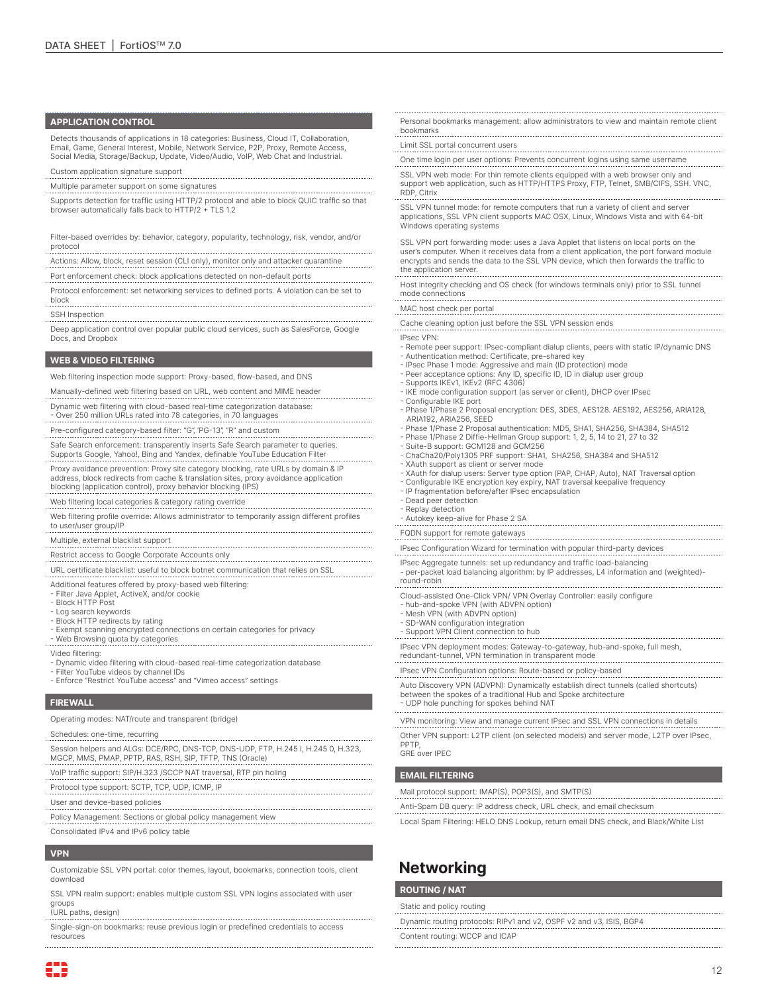#### **APPLICATION CONTROL**

Detects thousands of applications in 18 categories: Business, Cloud IT, Collaboration, Email, Game, General Interest, Mobile, Network Service, P2P, Proxy, Remote Access, Social Media, Storage/Backup, Update, Video/Audio, VoIP, Web Chat and Industrial.

- Custom application signature support
- Multiple parameter support on some signatures
- Supports detection for traffic using HTTP/2 protocol and able to block QUIC traffic so that browser automatically falls back to HTTP/2 + TLS 1.2

Filter-based overrides by: behavior, category, popularity, technology, risk, vendor, and/or protocol 

- Actions: Allow, block, reset session (CLI only), monitor only and attacker quarantine Port enforcement check: block applications detected on non-default ports
- Protocol enforcement: set networking services to defined ports. A violation can be set to block

SSH Inspection

Deep application control over popular public cloud services, such as SalesForce, Google Docs, and Dropbox

#### **WEB & VIDEO FILTERING**

Web filtering inspection mode support: Proxy-based, flow-based, and DNS

- Manually-defined web filtering based on URL, web content and MIME header
- Dynamic web filtering with cloud-based real-time categorization database:
- Over 250 million URLs rated into 78 categories, in 70 languages
- Pre-configured category-based filter: "G", 'PG-13", "R" and custom
- Safe Search enforcement: transparently inserts Safe Search parameter to queries. Supports Google, Yahoo!, Bing and Yandex, definable YouTube Education Filter
- Proxy avoidance prevention: Proxy site category blocking, rate URLs by domain & IP address, block redirects from cache & translation sites, proxy avoidance application blocking (application control), proxy behavior blocking (IPS)
- Web filtering local categories & category rating override
- Web filtering profile override: Allows administrator to temporarily assign different profiles to user/user group/IP<br>to user/user group/IP<br>couser/user group/IP
- 

Multiple, external blacklist support

- Restrict access to Google Corporate Accounts only
- URL certificate blacklist: useful to block botnet communication that relies on SSL
- Additional features offered by proxy-based web filtering:
- Filter Java Applet, ActiveX, and/or cookie
- Block HTTP Post
- Log search keywords
- Block HTTP redirects by rating
- Exempt scanning encrypted connections on certain categories for privacy - Web Browsing quota by categories
- Video filtering:
- Dynamic video filtering with cloud-based real-time categorization database
- Filter YouTube videos by channel IDs
- Enforce "Restrict YouTube access" and "Vimeo access" settings

#### **FIREWALL**

- Operating modes: NAT/route and transparent (bridge)
- Schedules: one-time, recurring
- Session helpers and ALGs: DCE/RPC, DNS-TCP, DNS-UDP, FTP, H.245 I, H.245 0, H.323, MGCP, MMS, PMAP, PPTP, RAS, RSH, SIP, TFTP, TNS (Oracle)
- VoIP traffic support: SIP/H.323 /SCCP NAT traversal, RTP pin holing
- Protocol type support: SCTP, TCP, UDP, ICMP, IP
- User and device-based policies
- 
- Policy Management: Sections or global policy management view
- Consolidated IPv4 and IPv6 policy table

#### **VPN**

83

- Customizable SSL VPN portal: color themes, layout, bookmarks, connection tools, client download
- SSL VPN realm support: enables multiple custom SSL VPN logins associated with user groups (URL paths, design)
- Single-sign-on bookmarks: reuse previous login or predefined credentials to access resources

Personal bookmarks management: allow administrators to view and maintain remote client bookmarks

#### Limit SSL portal concurrent users

- One time login per user options: Prevents concurrent logins using same username
- SSL VPN web mode: For thin remote clients equipped with a web browser only and support web application, such as HTTP/HTTPS Proxy, FTP, Telnet, SMB/CIFS, SSH. VNC,

RDP, Citrix SSL VPN tunnel mode: for remote computers that run a variety of client and server applications, SSL VPN client supports MAC OSX, Linux, Windows Vista and with 64-bit Windows operating systems

SSL VPN port forwarding mode: uses a Java Applet that listens on local ports on the user's computer. When it receives data from a client application, the port forward module encrypts and sends the data to the SSL VPN device, which then forwards the traffic to the application server. 

Host integrity checking and OS check (for windows terminals only) prior to SSL tunnel mode connections

- MAC host check per portal Cache cleaning option just before the SSL VPN session ends
- 
- IPsec VPN: - Remote peer support: IPsec-compliant dialup clients, peers with static IP/dynamic DNS
- 
- Authentication method: Certificate, pre-shared key IPsec Phase 1 mode: Aggressive and main (ID protection) mode
- Peer acceptance options: Any ID, specific ID, ID in dialup user group
- Supports IKEv1, IKEv2 (RFC 4306)
- IKE mode configuration support (as server or client), DHCP over IPsec
- Configurable IKE port - Phase 1/Phase 2 Proposal encryption: DES, 3DES, AES128. AES192, AES256, ARIA128,
- ARIA192, ARIA256, SEED Phase 1/Phase 2 Proposal authentication: MD5, SHA1, SHA256, SHA384, SHA512
- Phase 1/Phase 2 Diffie-Hellman Group support: 1, 2, 5, 14 to 21, 27 to 32
- Suite-B support: GCM128 and GCM256
- ChaCha20/Poly1305 PRF support: SHA1, SHA256, SHA384 and SHA512
- XAuth support as client or server mode
- XAuth for dialup users: Server type option (PAP, CHAP, Auto), NAT Traversal option
- Configurable IKE encryption key expiry, NAT traversal keepalive frequency
- IP fragmentation before/after IPsec encapsulation - Dead peer detection
- Replay detection
- Autokey keep-alive for Phase 2 SA
- 

FQDN support for remote gateways

- IPsec Configuration Wizard for termination with popular third-party devices IPsec Aggregate tunnels: set up redundancy and traffic load-balancing
- per-packet load balancing algorithm: by IP addresses, L4 information and (weighted) round-robin
- 
- Cloud-assisted One-Click VPN/ VPN Overlay Controller: easily configure - hub-and-spoke VPN (with ADVPN option)
- Mesh VPN (with ADVPN option)
- SD-WAN configuration integration
- Support VPN Client connection to hub
- IPsec VPN deployment modes: Gateway-to-gateway, hub-and-spoke, full mesh, redundant-tunnel, VPN termination in transparent mode

- IPsec VPN Configuration options: Route-based or policy-based
- Auto Discovery VPN (ADVPN): Dynamically establish direct tunnels (called shortcuts) between the spokes of a traditional Hub and Spoke architecture
- UDP hole punching for spokes behind NAT
- VPN monitoring: View and manage current IPsec and SSL VPN connections in details Other VPN support: L2TP client (on selected models) and server mode, L2TP over IPsec,
- PPTP, GRE over IPEC

#### **EMAIL FILTERING**

Mail protocol support: IMAP(S), POP3(S), and SMTP(S)

- Anti-Spam DB query: IP address check, URL check, and email checksum
- Local Spam Filtering: HELO DNS Lookup, return email DNS check, and Black/White List

12

## **Networking**

#### **ROUTING / NAT**

Static and policy routing

Content routing: WCCP and ICAP

Dynamic routing protocols: RIPv1 and v2, OSPF v2 and v3, ISIS, BGP4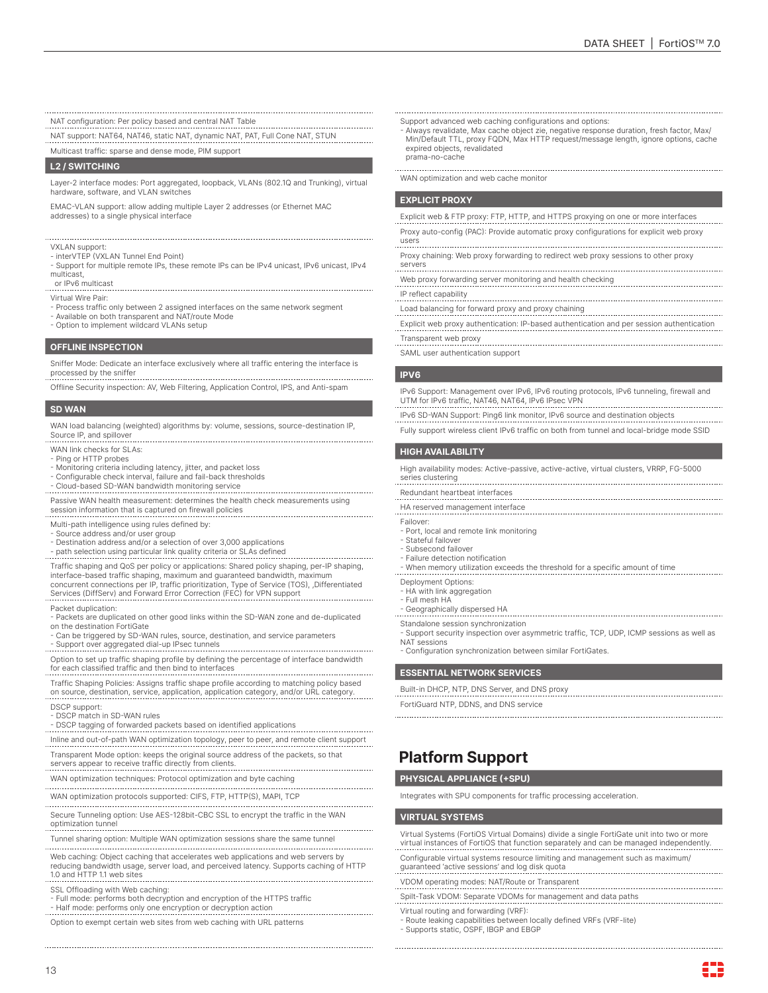NAT configuration: Per policy based and central NAT Table

NAT support: NAT64, NAT46, static NAT, dynamic NAT, PAT, Full Cone NAT, STUN

Multicast traffic: sparse and dense mode, PIM support

#### **L2 / SWITCHING**

Layer-2 interface modes: Port aggregated, loopback, VLANs (802.1Q and Trunking), virtual hardware, software, and VLAN switches

EMAC-VLAN support: allow adding multiple Layer 2 addresses (or Ethernet MAC addresses) to a single physical interface

VXLAN support: - interVTEP (VXLAN Tunnel End Point)

- Support for multiple remote IPs, these remote IPs can be IPv4 unicast, IPv6 unicast, IPv4 multicast,
- or IPv6 multicast

Virtual Wire Pair:

- Process traffic only between 2 assigned interfaces on the same network segment
- Available on both transparent and NAT/route Mode
- Option to implement wildcard VLANs setup

#### **OFFLINE INSPECTION**

Sniffer Mode: Dedicate an interface exclusively where all traffic entering the interface is processed by the sniffer

Offline Security inspection: AV, Web Filtering, Application Control, IPS, and Anti-spam

#### **SD WAN**

WAN load balancing (weighted) algorithms by: volume, sessions, source-destination IP, Source IP, and spillover

### WAN link checks for SLAs:

- Ping or HTTP probes
- Monitoring criteria including latency, jitter, and packet loss
- Configurable check interval, failure and fail-back thresholds
- Cloud-based SD-WAN bandwidth monitoring service

Passive WAN health measurement: determines the health check measurements using session information that is captured on firewall policies

- Multi-path intelligence using rules defined by:
- Source address and/or user group
- Destination address and/or a selection of over 3,000 applications
- path selection using particular link quality criteria or SLAs defined

Traffic shaping and QoS per policy or applications: Shared policy shaping, per-IP shaping, interface-based traffic shaping, maximum and guaranteed bandwidth, maximum concurrent connections per IP, traffic prioritization, Type of Service (TOS), ,Differentiated Services (DiffServ) and Forward Error Correction (FEC) for VPN support

Packet duplication:

- Packets are duplicated on other good links within the SD-WAN zone and de-duplicated on the destination FortiGate
- Can be triggered by SD-WAN rules, source, destination, and service parameters - Support over aggregated dial-up IPsec tunnels
- Option to set up traffic shaping profile by defining the percentage of interface bandwidth for each classified traffic and then bind to interfaces
- Traffic Shaping Policies: Assigns traffic shape profile according to matching policy based on source, destination, service, application, application category, and/or URL category.
- DSCP support:
- DSCP match in SD-WAN rules
- DSCP tagging of forwarded packets based on identified applications
- Inline and out-of-path WAN optimization topology, peer to peer, and remote client support Transparent Mode option: keeps the original source address of the packets, so that servers appear to receive traffic directly from clients.
- WAN optimization techniques: Protocol optimization and byte caching
- 
- WAN optimization protocols supported: CIFS, FTP, HTTP(S), MAPI, TCP . . . . . . . . . . . . . . .
- Secure Tunneling option: Use AES-128bit-CBC SSL to encrypt the traffic in the WAN optimization tunnel

- Tunnel sharing option: Multiple WAN optimization sessions share the same tunnel
- Web caching: Object caching that accelerates web applications and web servers by reducing bandwidth usage, server load, and perceived latency. Supports caching of HTTP 1.0 and HTTP 1.1 web sites
- SSL Offloading with Web caching:
- Full mode: performs both decryption and encryption of the HTTPS traffic Half mode: performs only one encryption or decryption action
- 

Option to exempt certain web sites from web caching with URL patterns

- Support advanced web caching configurations and options:
- Always revalidate, Max cache object zie, negative response duration, fresh factor, Max/ Min/Default TTL, proxy FQDN, Max HTTP request/message length, ignore options, cache expired objects, revalidated prama-no-cache
- WAN optimization and web cache monitor

#### **EXPLICIT PROXY**

- Explicit web & FTP proxy: FTP, HTTP, and HTTPS proxying on one or more interfaces
- Proxy auto-config (PAC): Provide automatic proxy configurations for explicit web proxy users
- Proxy chaining: Web proxy forwarding to redirect web proxy sessions to other proxy
- servers
- Web proxy forwarding server monitoring and health checking IP reflect capability
- 
- Load balancing for forward proxy and proxy chaining Explicit web proxy authentication: IP-based authentication and per session authentication
- Transparent web proxy
- SAML user authentication support

#### **IPV6**

IPv6 Support: Management over IPv6, IPv6 routing protocols, IPv6 tunneling, firewall and UTM for IPv6 traffic, NAT46, NAT64, IPv6 IPsec VPN

- IPv6 SD-WAN Support: Ping6 link monitor, IPv6 source and destination objects
- Fully support wireless client IPv6 traffic on both from tunnel and local-bridge mode SSID

#### **HIGH AVAILABILITY**

High availability modes: Active-passive, active-active, virtual clusters, VRRP, FG-5000 series clustering

- Redundant heartbeat interfaces
- 
- HA reserved management interface
- Failover:
- Port, local and remote link monitoring - Stateful failover
- Subsecond failover
- Failure detection notification
- When memory utilization exceeds the threshold for a specific amount of time
- Deployment Options:
- 
- HA with link aggregation Full mesh HA
- Geographically dispersed HA
- Standalone session synchronization
- Support security inspection over asymmetric traffic, TCP, UDP, ICMP sessions as well as NAT sessions
- Configuration synchronization between similar FortiGates.

#### **ESSENTIAL NETWORK SERVICES**

Built-in DHCP, NTP, DNS Server, and DNS proxy

FortiGuard NTP, DDNS, and DNS service

## **Platform Support**

### **PHYSICAL APPLIANCE (+SPU)**

Integrates with SPU components for traffic processing acceleration.

#### **VIRTUAL SYSTEMS**

Virtual Systems (FortiOS Virtual Domains) divide a single FortiGate unit into two or more virtual instances of FortiOS that function separately and can be managed independently. Configurable virtual systems resource limiting and management such as maximum/

guaranteed 'active sessions' and log disk quota

- VDOM operating modes: NAT/Route or Transparent
- Spilt-Task VDOM: Separate VDOMs for management and data paths
- Virtual routing and forwarding (VRF):
- Route leaking capabilities between locally defined VRFs (VRF-lite) - Supports static, OSPF, IBGP and EBGP